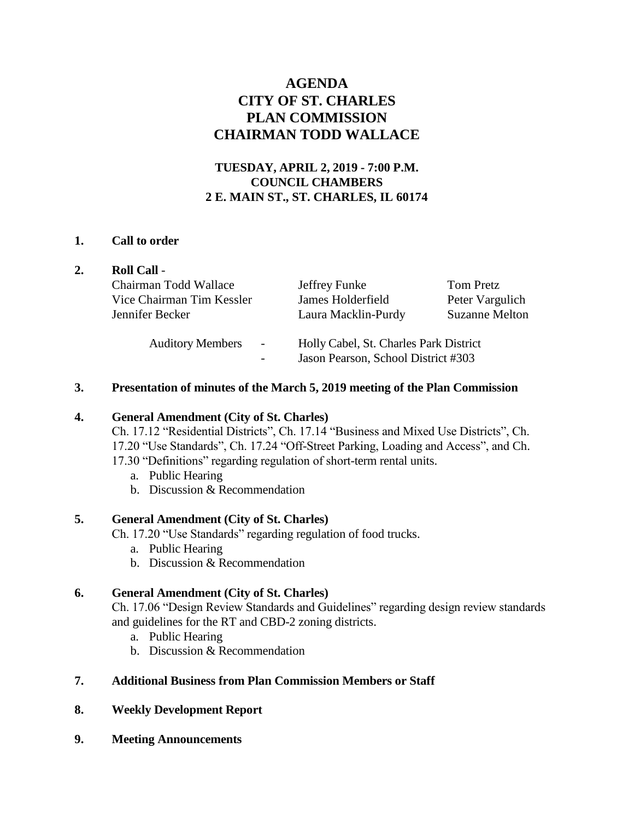# **AGENDA CITY OF ST. CHARLES PLAN COMMISSION CHAIRMAN TODD WALLACE**

## **TUESDAY, APRIL 2, 2019 - 7:00 P.M. COUNCIL CHAMBERS 2 E. MAIN ST., ST. CHARLES, IL 60174**

## **1. Call to order**

|  | <b>Roll Call -</b>                                  |                                                                               |                       |
|--|-----------------------------------------------------|-------------------------------------------------------------------------------|-----------------------|
|  | Chairman Todd Wallace                               | Jeffrey Funke                                                                 | Tom Pretz             |
|  | Vice Chairman Tim Kessler                           | James Holderfield                                                             | Peter Vargulich       |
|  | Jennifer Becker                                     | Laura Macklin-Purdy                                                           | <b>Suzanne Melton</b> |
|  | <b>Auditory Members</b><br>$\overline{\phantom{a}}$ | Holly Cabel, St. Charles Park District<br>Jason Pearson, School District #303 |                       |

## **3. Presentation of minutes of the March 5, 2019 meeting of the Plan Commission**

## **4. General Amendment (City of St. Charles)**

Ch. 17.12 "Residential Districts", Ch. 17.14 "Business and Mixed Use Districts", Ch. 17.20 "Use Standards", Ch. 17.24 "Off-Street Parking, Loading and Access", and Ch. 17.30 "Definitions" regarding regulation of short-term rental units.

- a. Public Hearing
- b. Discussion & Recommendation

## **5. General Amendment (City of St. Charles)**

Ch. 17.20 "Use Standards" regarding regulation of food trucks.

- a. Public Hearing
- b. Discussion & Recommendation

## **6. General Amendment (City of St. Charles)**

Ch. 17.06 "Design Review Standards and Guidelines" regarding design review standards and guidelines for the RT and CBD-2 zoning districts.

- a. Public Hearing
- b. Discussion & Recommendation

## **7. Additional Business from Plan Commission Members or Staff**

## **8. Weekly Development Report**

**9. Meeting Announcements**